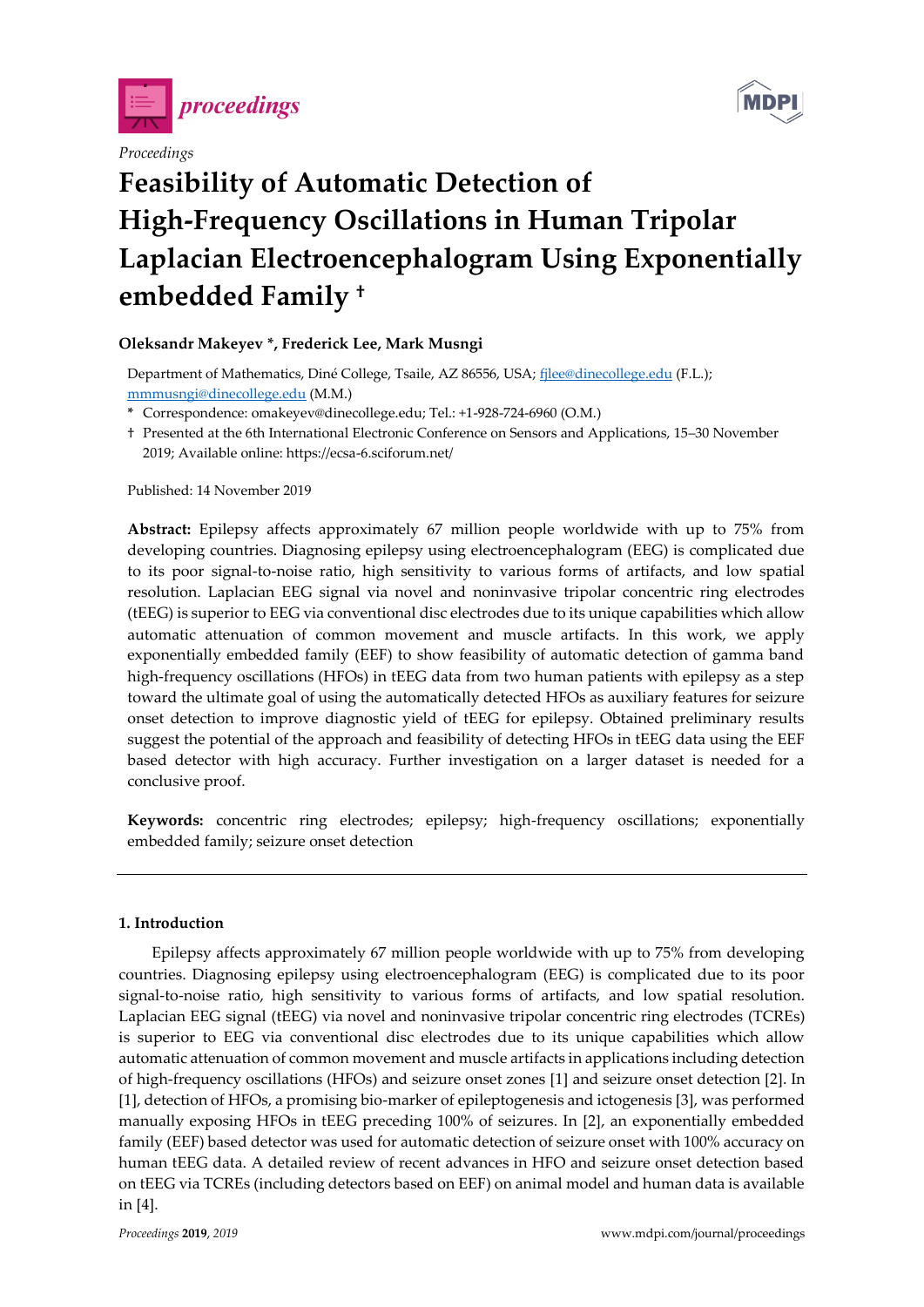

## *Proceedings*



# **Feasibility of Automatic Detection of High-Frequency Oscillations in Human Tripolar Laplacian Electroencephalogram Using Exponentially embedded Family †**

## **Oleksandr Makeyev \*, Frederick Lee, Mark Musngi**

Department of Mathematics, Diné College, Tsaile, AZ 86556, USA; [fjlee@dinecollege.edu](mailto:fjlee@dinecollege.edu) (F.L.); [mmmusngi@dinecollege.edu](mailto:mmmusngi@dinecollege.edu) (M.M.)

- **\*** Correspondence: omakeyev@dinecollege.edu; Tel.: +1-928-724-6960 (O.M.)
- † Presented at the 6th International Electronic Conference on Sensors and Applications, 15–30 November 2019; Available online: https://ecsa-6.sciforum.net/

Published: 14 November 2019

**Abstract:** Epilepsy affects approximately 67 million people worldwide with up to 75% from developing countries. Diagnosing epilepsy using electroencephalogram (EEG) is complicated due to its poor signal-to-noise ratio, high sensitivity to various forms of artifacts, and low spatial resolution. Laplacian EEG signal via novel and noninvasive tripolar concentric ring electrodes (tEEG) is superior to EEG via conventional disc electrodes due to its unique capabilities which allow automatic attenuation of common movement and muscle artifacts. In this work, we apply exponentially embedded family (EEF) to show feasibility of automatic detection of gamma band high-frequency oscillations (HFOs) in tEEG data from two human patients with epilepsy as a step toward the ultimate goal of using the automatically detected HFOs as auxiliary features for seizure onset detection to improve diagnostic yield of tEEG for epilepsy. Obtained preliminary results suggest the potential of the approach and feasibility of detecting HFOs in tEEG data using the EEF based detector with high accuracy. Further investigation on a larger dataset is needed for a conclusive proof.

**Keywords:** concentric ring electrodes; epilepsy; high-frequency oscillations; exponentially embedded family; seizure onset detection

## **1. Introduction**

Epilepsy affects approximately 67 million people worldwide with up to 75% from developing countries. Diagnosing epilepsy using electroencephalogram (EEG) is complicated due to its poor signal-to-noise ratio, high sensitivity to various forms of artifacts, and low spatial resolution. Laplacian EEG signal (tEEG) via novel and noninvasive tripolar concentric ring electrodes (TCREs) is superior to EEG via conventional disc electrodes due to its unique capabilities which allow automatic attenuation of common movement and muscle artifacts in applications including detection of high-frequency oscillations (HFOs) and seizure onset zones [1] and seizure onset detection [2]. In [1], detection of HFOs, a promising bio-marker of epileptogenesis and ictogenesis [3], was performed manually exposing HFOs in tEEG preceding 100% of seizures. In [2], an exponentially embedded family (EEF) based detector was used for automatic detection of seizure onset with 100% accuracy on human tEEG data. A detailed review of recent advances in HFO and seizure onset detection based on tEEG via TCREs (including detectors based on EEF) on animal model and human data is available in [4].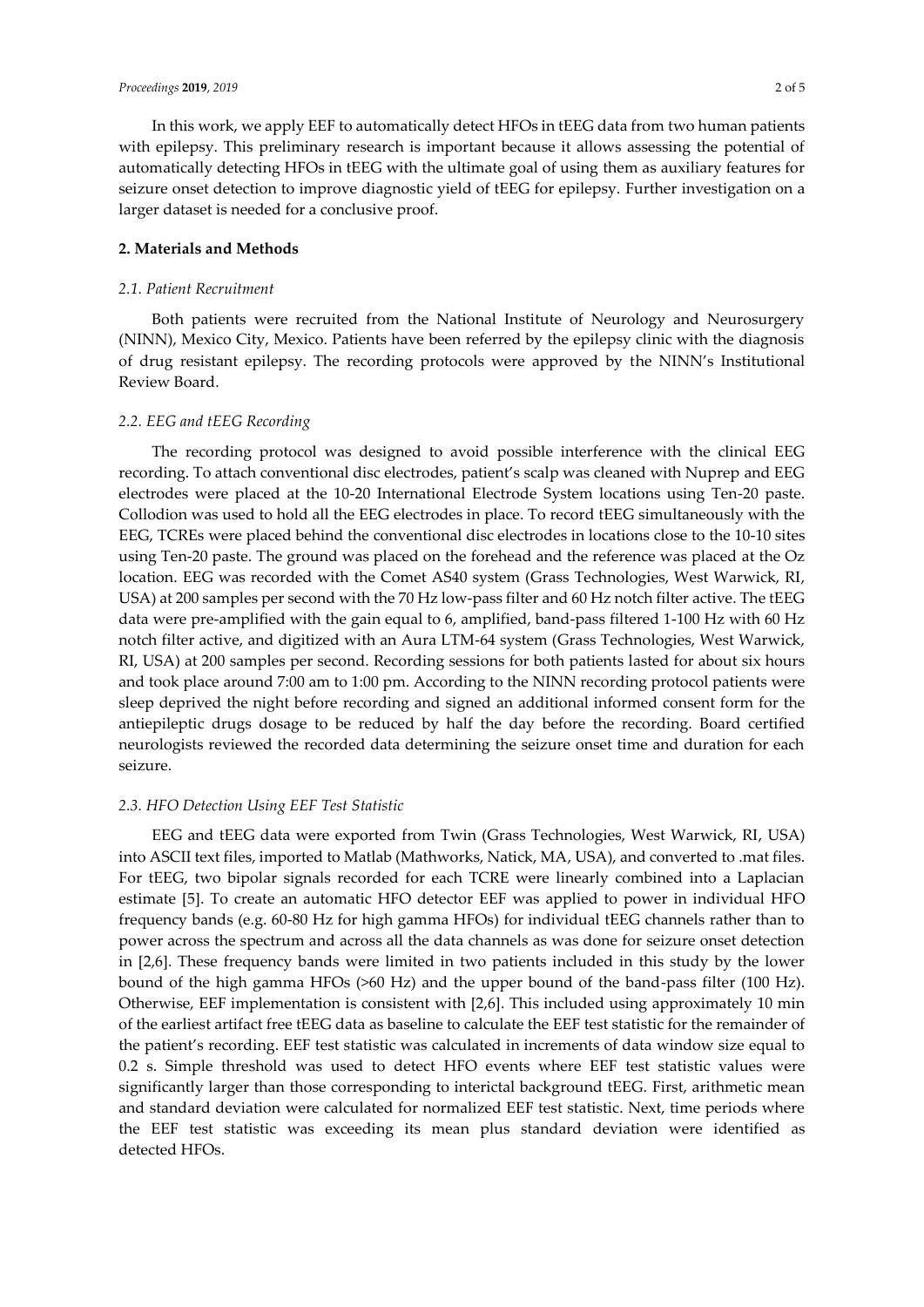In this work, we apply EEF to automatically detect HFOs in tEEG data from two human patients with epilepsy. This preliminary research is important because it allows assessing the potential of automatically detecting HFOs in tEEG with the ultimate goal of using them as auxiliary features for seizure onset detection to improve diagnostic yield of tEEG for epilepsy. Further investigation on a larger dataset is needed for a conclusive proof.

## **2. Materials and Methods**

## *2.1. Patient Recruitment*

Both patients were recruited from the National Institute of Neurology and Neurosurgery (NINN), Mexico City, Mexico. Patients have been referred by the epilepsy clinic with the diagnosis of drug resistant epilepsy. The recording protocols were approved by the NINN's Institutional Review Board.

#### *2.2. EEG and tEEG Recording*

The recording protocol was designed to avoid possible interference with the clinical EEG recording. To attach conventional disc electrodes, patient's scalp was cleaned with Nuprep and EEG electrodes were placed at the 10-20 International Electrode System locations using Ten-20 paste. Collodion was used to hold all the EEG electrodes in place. To record tEEG simultaneously with the EEG, TCREs were placed behind the conventional disc electrodes in locations close to the 10-10 sites using Ten-20 paste. The ground was placed on the forehead and the reference was placed at the Oz location. EEG was recorded with the Comet AS40 system (Grass Technologies, West Warwick, RI, USA) at 200 samples per second with the 70 Hz low-pass filter and 60 Hz notch filter active. The tEEG data were pre-amplified with the gain equal to 6, amplified, band-pass filtered 1-100 Hz with 60 Hz notch filter active, and digitized with an Aura LTM-64 system (Grass Technologies, West Warwick, RI, USA) at 200 samples per second. Recording sessions for both patients lasted for about six hours and took place around 7:00 am to 1:00 pm. According to the NINN recording protocol patients were sleep deprived the night before recording and signed an additional informed consent form for the antiepileptic drugs dosage to be reduced by half the day before the recording. Board certified neurologists reviewed the recorded data determining the seizure onset time and duration for each seizure.

## *2.3. HFO Detection Using EEF Test Statistic*

EEG and tEEG data were exported from Twin (Grass Technologies, West Warwick, RI, USA) into ASCII text files, imported to Matlab (Mathworks, Natick, MA, USA), and converted to .mat files. For tEEG, two bipolar signals recorded for each TCRE were linearly combined into a Laplacian estimate [5]. To create an automatic HFO detector EEF was applied to power in individual HFO frequency bands (e.g. 60-80 Hz for high gamma HFOs) for individual tEEG channels rather than to power across the spectrum and across all the data channels as was done for seizure onset detection in [2,6]. These frequency bands were limited in two patients included in this study by the lower bound of the high gamma HFOs (>60 Hz) and the upper bound of the band-pass filter (100 Hz). Otherwise, EEF implementation is consistent with [2,6]. This included using approximately 10 min of the earliest artifact free tEEG data as baseline to calculate the EEF test statistic for the remainder of the patient's recording. EEF test statistic was calculated in increments of data window size equal to 0.2 s. Simple threshold was used to detect HFO events where EEF test statistic values were significantly larger than those corresponding to interictal background tEEG. First, arithmetic mean and standard deviation were calculated for normalized EEF test statistic. Next, time periods where the EEF test statistic was exceeding its mean plus standard deviation were identified as detected HFOs.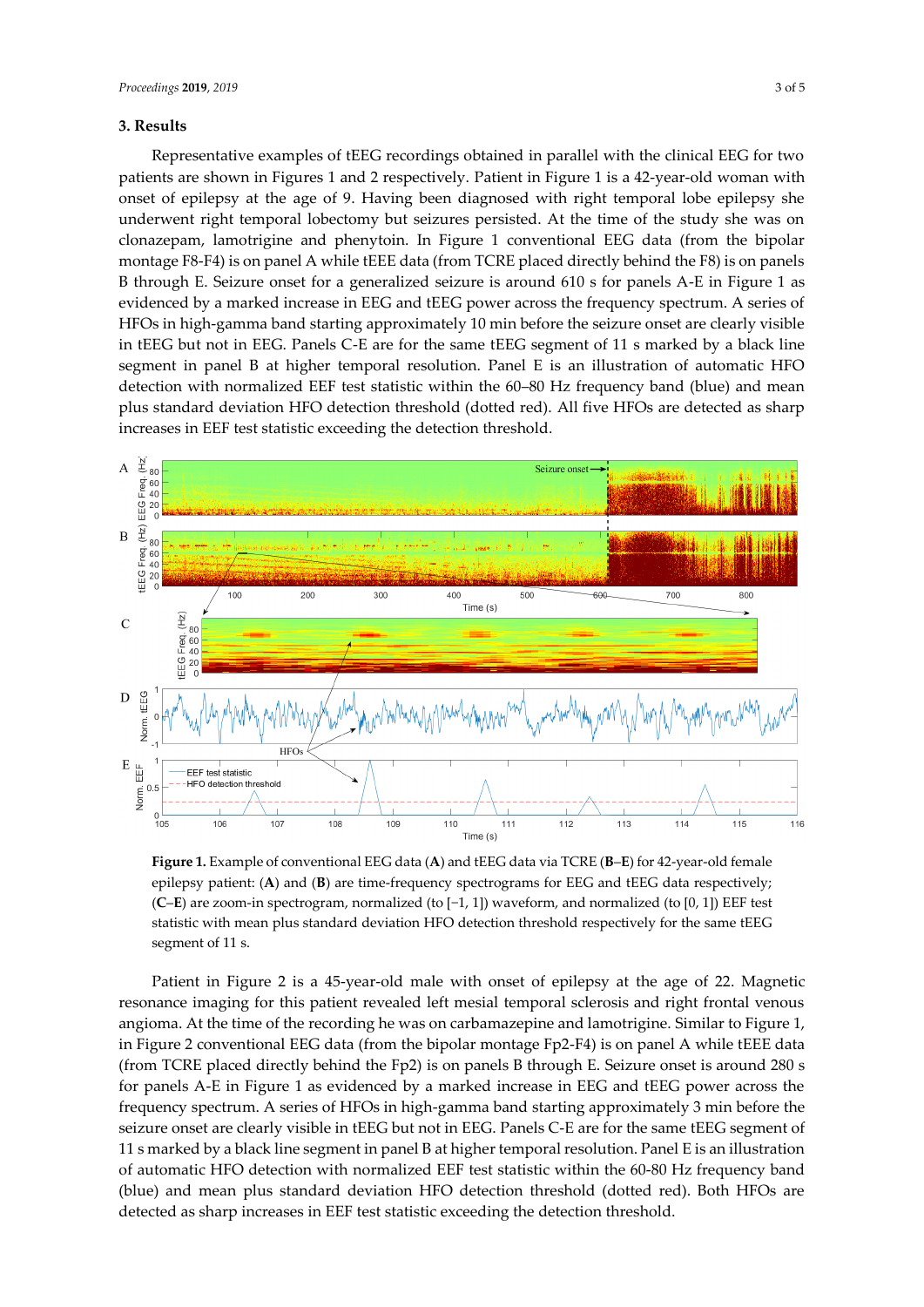## **3. Results**

Representative examples of tEEG recordings obtained in parallel with the clinical EEG for two patients are shown in Figures 1 and 2 respectively. Patient in Figure 1 is a 42-year-old woman with onset of epilepsy at the age of 9. Having been diagnosed with right temporal lobe epilepsy she underwent right temporal lobectomy but seizures persisted. At the time of the study she was on clonazepam, lamotrigine and phenytoin. In Figure 1 conventional EEG data (from the bipolar montage F8-F4) is on panel A while tEEE data (from TCRE placed directly behind the F8) is on panels B through E. Seizure onset for a generalized seizure is around 610 s for panels A-E in Figure 1 as evidenced by a marked increase in EEG and tEEG power across the frequency spectrum. A series of HFOs in high-gamma band starting approximately 10 min before the seizure onset are clearly visible in tEEG but not in EEG. Panels C-E are for the same tEEG segment of 11 s marked by a black line segment in panel B at higher temporal resolution. Panel E is an illustration of automatic HFO detection with normalized EEF test statistic within the 60–80 Hz frequency band (blue) and mean plus standard deviation HFO detection threshold (dotted red). All five HFOs are detected as sharp increases in EEF test statistic exceeding the detection threshold.



**Figure 1.** Example of conventional EEG data (**A**) and tEEG data via TCRE (**B**–**E**) for 42-year-old female epilepsy patient: (A) and (B) are time-frequency spectrograms for EEG and tEEG data respectively; (**C**–**E**) are zoom-in spectrogram, normalized (to [−1, 1]) waveform, and normalized (to [0, 1]) EEF test statistic with mean plus standard deviation HFO detection threshold respectively for the same tEEG segment of 11 s.

Patient in Figure 2 is a 45-year-old male with onset of epilepsy at the age of 22. Magnetic resonance imaging for this patient revealed left mesial temporal sclerosis and right frontal venous angioma. At the time of the recording he was on carbamazepine and lamotrigine. Similar to Figure 1, in Figure 2 conventional EEG data (from the bipolar montage Fp2-F4) is on panel A while tEEE data (from TCRE placed directly behind the Fp2) is on panels B through E. Seizure onset is around 280 s for panels A-E in Figure 1 as evidenced by a marked increase in EEG and tEEG power across the frequency spectrum. A series of HFOs in high-gamma band starting approximately 3 min before the seizure onset are clearly visible in tEEG but not in EEG. Panels C-E are for the same tEEG segment of 11 s marked by a black line segment in panel B at higher temporal resolution. Panel E is an illustration of automatic HFO detection with normalized EEF test statistic within the 60-80 Hz frequency band (blue) and mean plus standard deviation HFO detection threshold (dotted red). Both HFOs are detected as sharp increases in EEF test statistic exceeding the detection threshold.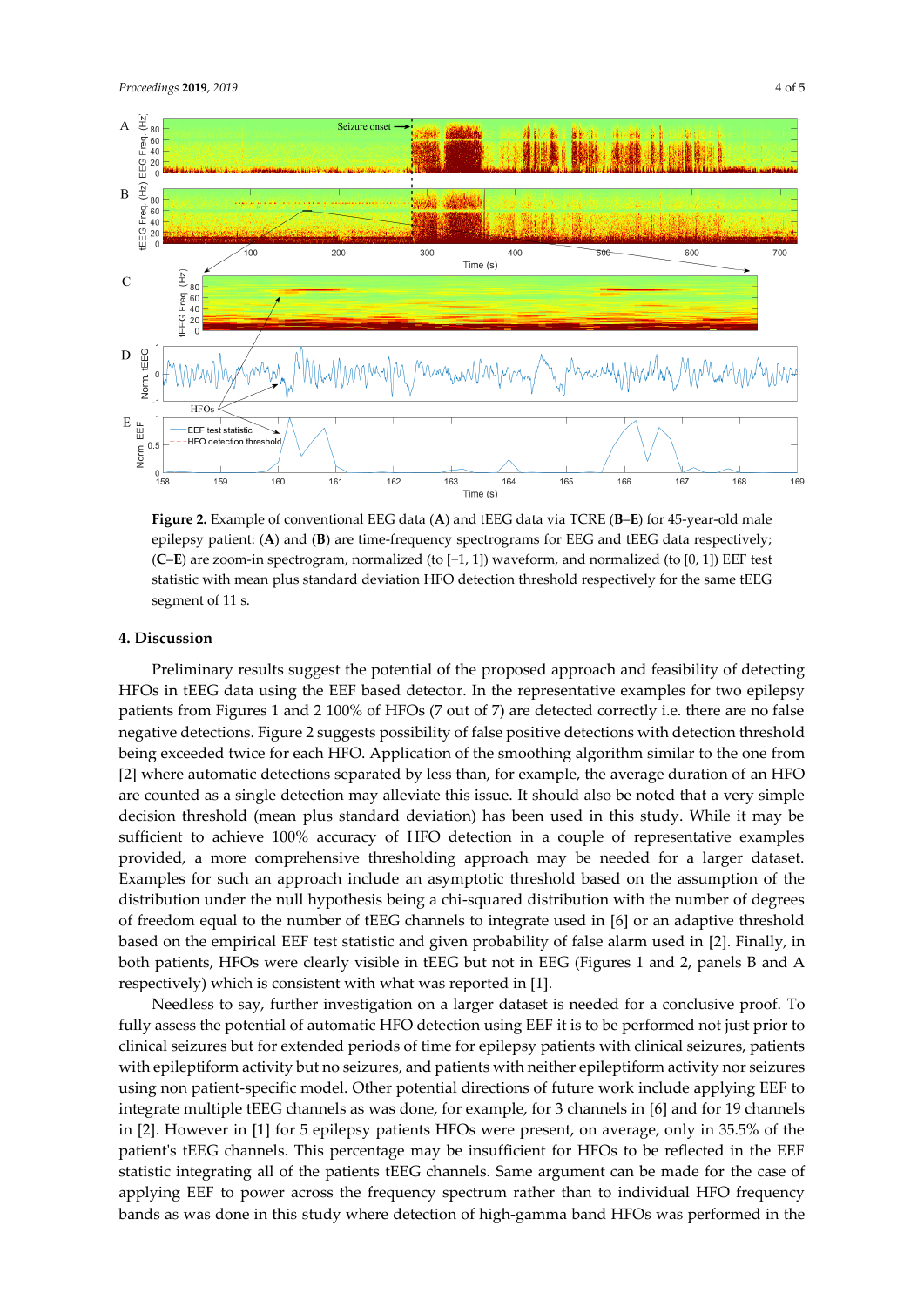

**Figure 2.** Example of conventional EEG data (**A**) and tEEG data via TCRE (**B**–**E**) for 45-year-old male epilepsy patient: (A) and (B) are time-frequency spectrograms for EEG and tEEG data respectively; (**C**–**E**) are zoom-in spectrogram, normalized (to [−1, 1]) waveform, and normalized (to [0, 1]) EEF test statistic with mean plus standard deviation HFO detection threshold respectively for the same tEEG segment of 11 s.

#### **4. Discussion**

Preliminary results suggest the potential of the proposed approach and feasibility of detecting HFOs in tEEG data using the EEF based detector. In the representative examples for two epilepsy patients from Figures 1 and 2 100% of HFOs (7 out of 7) are detected correctly i.e. there are no false negative detections. Figure 2 suggests possibility of false positive detections with detection threshold being exceeded twice for each HFO. Application of the smoothing algorithm similar to the one from [2] where automatic detections separated by less than, for example, the average duration of an HFO are counted as a single detection may alleviate this issue. It should also be noted that a very simple decision threshold (mean plus standard deviation) has been used in this study. While it may be sufficient to achieve 100% accuracy of HFO detection in a couple of representative examples provided, a more comprehensive thresholding approach may be needed for a larger dataset. Examples for such an approach include an asymptotic threshold based on the assumption of the distribution under the null hypothesis being a chi-squared distribution with the number of degrees of freedom equal to the number of tEEG channels to integrate used in [6] or an adaptive threshold based on the empirical EEF test statistic and given probability of false alarm used in [2]. Finally, in both patients, HFOs were clearly visible in tEEG but not in EEG (Figures 1 and 2, panels B and A respectively) which is consistent with what was reported in [1].

Needless to say, further investigation on a larger dataset is needed for a conclusive proof. To fully assess the potential of automatic HFO detection using EEF it is to be performed not just prior to clinical seizures but for extended periods of time for epilepsy patients with clinical seizures, patients with epileptiform activity but no seizures, and patients with neither epileptiform activity nor seizures using non patient-specific model. Other potential directions of future work include applying EEF to integrate multiple tEEG channels as was done, for example, for 3 channels in [6] and for 19 channels in [2]. However in [1] for 5 epilepsy patients HFOs were present, on average, only in 35.5% of the patient's tEEG channels. This percentage may be insufficient for HFOs to be reflected in the EEF statistic integrating all of the patients tEEG channels. Same argument can be made for the case of applying EEF to power across the frequency spectrum rather than to individual HFO frequency bands as was done in this study where detection of high-gamma band HFOs was performed in the